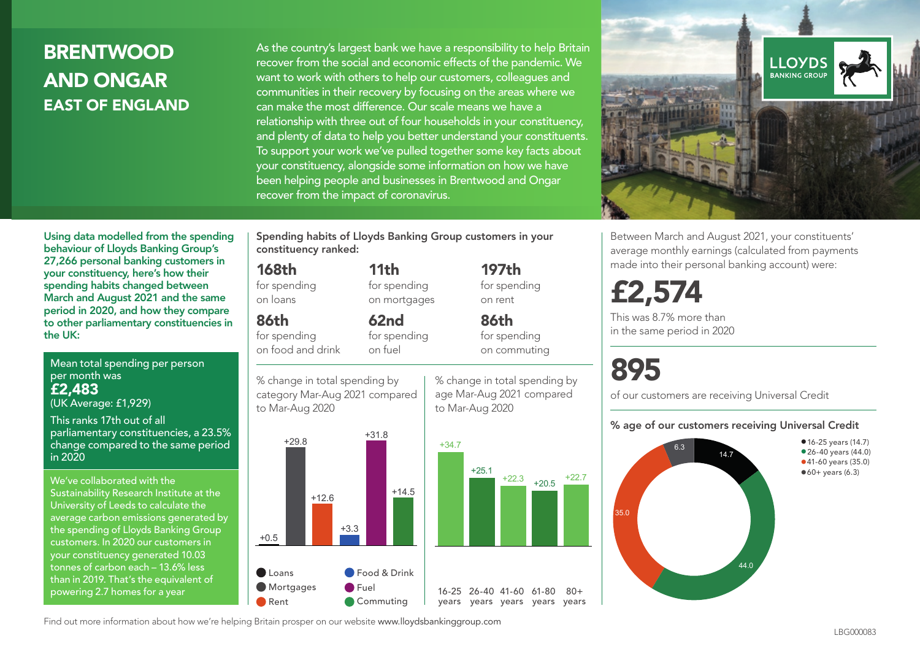# **BRENTWOOD** AND ONGAR EAST OF ENGLAND

As the country's largest bank we have a responsibility to help Britain recover from the social and economic effects of the pandemic. We want to work with others to help our customers, colleagues and communities in their recovery by focusing on the areas where we can make the most difference. Our scale means we have a relationship with three out of four households in your constituency, and plenty of data to help you better understand your constituents. To support your work we've pulled together some key facts about your constituency, alongside some information on how we have been helping people and businesses in Brentwood and Ongar recover from the impact of coronavirus.



Between March and August 2021, your constituents' average monthly earnings (calculated from payments made into their personal banking account) were:

£2,574

This was 8.7% more than in the same period in 2020

# 895

 $80 +$ 

of our customers are receiving Universal Credit

#### % age of our customers receiving Universal Credit



Using data modelled from the spending behaviour of Lloyds Banking Group's 27,266 personal banking customers in your constituency, here's how their spending habits changed between March and August 2021 and the same period in 2020, and how they compare to other parliamentary constituencies in the UK:

Mean total spending per person per month was £2,483

(UK Average: £1,929)

This ranks 17th out of all parliamentary constituencies, a 23.5% change compared to the same period in 2020

We've collaborated with the Sustainability Research Institute at the University of Leeds to calculate the average carbon emissions generated by the spending of Lloyds Banking Group customers. In 2020 our customers in your constituency generated 10.03 tonnes of carbon each – 13.6% less than in 2019. That's the equivalent of powering 2.7 homes for a year

Spending habits of Lloyds Banking Group customers in your constituency ranked:

> 11th for spending on mortgages

62nd for spending

#### 168th

for spending on loans

86th

for spending on food and drink

on fuel

% change in total spending by category Mar-Aug 2021 compared to Mar-Aug 2020



% change in total spending by age Mar-Aug 2021 compared to Mar-Aug 2020

197th for spending on rent

86th for spending on commuting